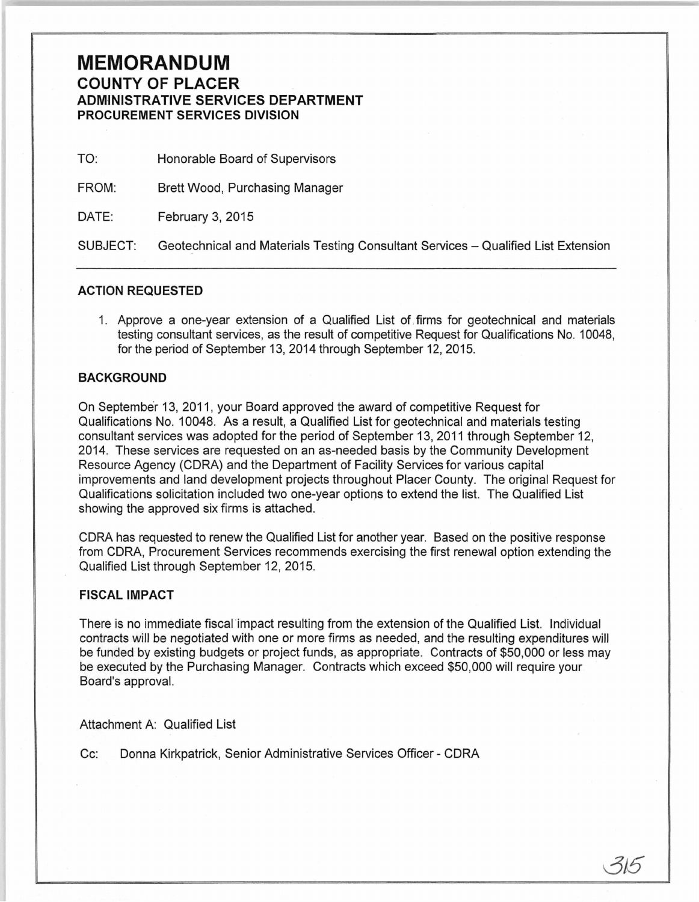# **MEMORANDUM COUNTY OF PLACER ADM·INISTRATIVE SERVICES DEPARTMENT PROCUREMENT SERVICES DIVISION**

| TO:      | Honorable Board of Supervisors                                                    |
|----------|-----------------------------------------------------------------------------------|
| FROM:    | Brett Wood, Purchasing Manager                                                    |
| DATE:    | February 3, 2015                                                                  |
| SUBJECT: | Geotechnical and Materials Testing Consultant Services - Qualified List Extension |

#### **ACTION REQUESTED**

1. Approve a one-year extension of a Qualified List of , firms for geotechnical and materials testing consultant services, as the result of competitive Request for Qualifications No. 1 0048, for the period of September 13, 2014 through September 12, 2015.

#### **BACKGROUND**

On September 13, 2011, your Board approved the award of competitive Request for Qualifications No. 10048. As a result, a Qualified List for geotechnical and materials testing consultant services was adopted for the period of September 13, 2011 through September 12, 2014. These services are requested on an as-needed basis by the Community Development Resource Agency (CORA) and the Department of Facility Services for various capital improvements and land development projects throughout Placer County. The original Request for Qualifications solicitation included two one-year options to extend the list. The Qualified List showing the approved six firms is attached.

CORA has requested to renew the Qualified List for another year. Based on the positive response from CORA, Procurement Services recommends exercising the first renewal option extending the Qualified List through September 12, 2015.

#### **FISCAL IMPACT**

There is no immediate fiscal impact resulting from the extension of the Qualified List. Individual contracts will be negotiated with one or more firms as needed, and the resulting expenditures will be funded by existing budgets or project funds, as appropriate. Contracts of \$50,000 or less may be executed by the Purchasing Manager. Contracts which exceed \$50,000 will require your Board's approval.

*015* 

Attachment A: Qualified List

Cc: Donna Kirkpatrick, Senior Administrative Services Officer- CORA